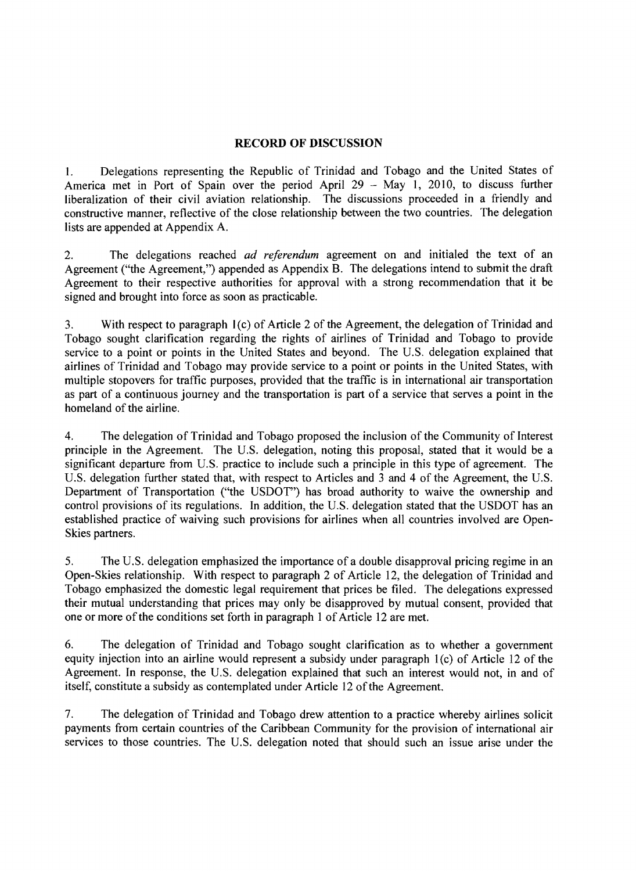## **RECORD OF DISCUSSION**

1. Delegations representing the Republic of Trinidad and Tobago and the United States of America met in Port of Spain over the period April  $29 - May 1$ , 2010, to discuss further liberalization of their civil aviation relationship. The discussions proceeded in a friendly and constructive manner, reflective of the close relationship between the two countries. The delegation lists are appended at Appendix A.

2. The delegations reached *ad referendum* agreement on and initialed the text of an Agreement ("the Agreement,") appended as Appendix B. The delegations intend to submit the draft Agreement to their respective authorities for approval with a strong recommendation that it be signed and brought into force as soon as practicable.

3. With respect to paragraph I(c) of Article 2 of the Agreement, the delegation of Trinidad and Tobago sought clarification regarding the rights of airlines of Trinidad and Tobago to provide service to a point or points in the United States and beyond. The U.S. delegation explained that airlines of Trinidad and Tobago may provide service to a point or points in the United States, with multiple stopovers for traffic purposes, provided that the traffic is in international air transportation as part of a continuous journey and the transportation is part of a service that serves a point in the homeland of the airline.

4. The delegation of Trinidad and Tobago proposed the inclusion of the Community of Interest principle in the Agreement. The U.S. delegation, noting this proposal, stated that it would be a significant departure from U.S. practice to include such a principle in this type of agreement. The U.S. delegation further stated that, with respect to Articles and 3 and 4 of the Agreement, the U.S. Department of Transportation ("the USDOT") has broad authority to waive the ownership and control provisions of its regulations. In addition, the U.S. delegation stated that the USDOT has an established practice of waiving such provisions for airlines when all countries involved are Open-Skies partners.

5. The U.S. delegation emphasized the importance of a double disapproval pricing regime in an Open-Skies relationship. With respect to paragraph 2 of Article 12, the delegation of Trinidad and Tobago emphasized the domestic legal requirement that prices be filed. The delegations expressed their mutual understanding that prices may only be disapproved by mutual consent, provided that one or more of the conditions set forth in paragraph 1 of Article 12 are met.

6. The delegation of Trinidad and Tobago sought clarification as to whether a government equity injection into an airline would represent a subsidy under paragraph 1(c) of Article 12 of the Agreement. In response, the U.S. delegation explained that such an interest would not, in and of itself, constitute a subsidy as contemplated under Article 12 of the Agreement.

7. The delegation of Trinidad and Tobago drew attention to a practice whereby airlines solicit payments from certain countries of the Caribbean Community for the provision of international air services to those countries. The U.S. delegation noted that should such an issue arise under the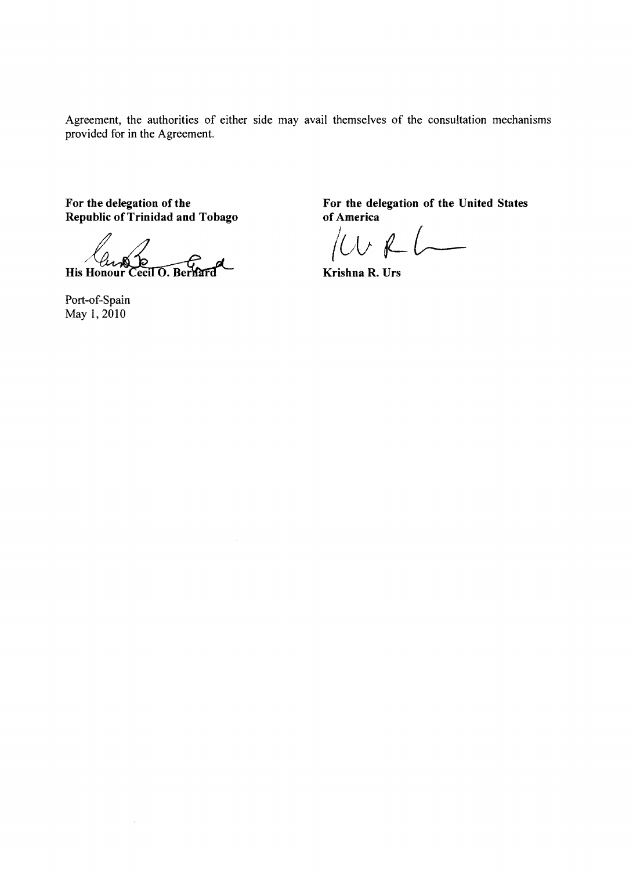Agreement, the authorities of either side may avail themselves of the consultation mechanisms provided for **in** the Agreement.

**For the delegation** of the **Republic** of Trinidad **and Tobago** 

His Honour Cecil O. Berhard

Port-of-Spain May 1, 2010

**For the delegation of the United States** 

of America  $\left(\bigcup_{\sigma} \mathcal{L} \right)$ 

**Krishna R. Urs**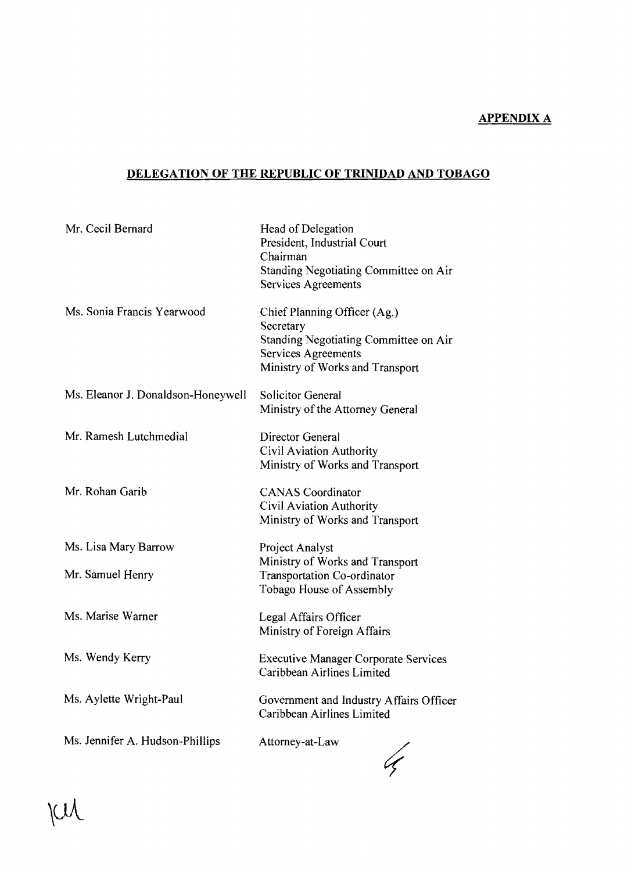# APPENDIX A

# **DELEGATION OF THE REPUBLIC OF TRINIDAD AND TOBAGO**

| Mr. Cecil Bernard                  | Head of Delegation<br>President, Industrial Court<br>Chairman<br>Standing Negotiating Committee on Air<br>Services Agreements                |
|------------------------------------|----------------------------------------------------------------------------------------------------------------------------------------------|
| Ms. Sonia Francis Yearwood         | Chief Planning Officer (Ag.)<br>Secretary<br>Standing Negotiating Committee on Air<br>Services Agreements<br>Ministry of Works and Transport |
| Ms. Eleanor J. Donaldson-Honeywell | Solicitor General<br>Ministry of the Attorney General                                                                                        |
| Mr. Ramesh Lutchmedial             | Director General<br>Civil Aviation Authority<br>Ministry of Works and Transport                                                              |
| Mr. Rohan Garib                    | <b>CANAS</b> Coordinator<br><b>Civil Aviation Authority</b><br>Ministry of Works and Transport                                               |
| Ms. Lisa Mary Barrow               | Project Analyst                                                                                                                              |
| Mr. Samuel Henry                   | Ministry of Works and Transport<br><b>Transportation Co-ordinator</b><br>Tobago House of Assembly                                            |
| Ms. Marise Warner                  | Legal Affairs Officer<br>Ministry of Foreign Affairs                                                                                         |
| Ms. Wendy Kerry                    | <b>Executive Manager Corporate Services</b><br>Caribbean Airlines Limited                                                                    |
| Ms. Aylette Wright-Paul            | Government and Industry Affairs Officer<br>Caribbean Airlines Limited                                                                        |
| Ms. Jennifer A. Hudson-Phillips    | Attorney-at-Law                                                                                                                              |

 $\mu$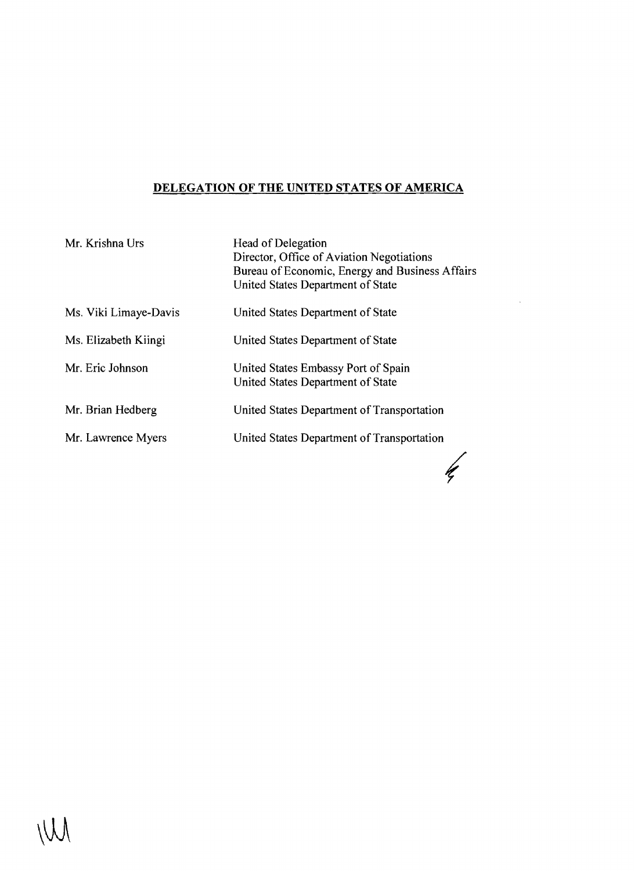# **DELEGATION OF THE UNITED STATES OF AMERICA**

 $\sim$   $\sim$ 

| Mr. Krishna Urs       | Head of Delegation<br>Director, Office of Aviation Negotiations                      |
|-----------------------|--------------------------------------------------------------------------------------|
|                       | Bureau of Economic, Energy and Business Affairs<br>United States Department of State |
| Ms. Viki Limaye-Davis | United States Department of State                                                    |
| Ms. Elizabeth Kiingi  | United States Department of State                                                    |
| Mr. Eric Johnson      | United States Embassy Port of Spain<br>United States Department of State             |
|                       |                                                                                      |
| Mr. Brian Hedberg     | United States Department of Transportation                                           |
| Mr. Lawrence Myers    | United States Department of Transportation                                           |
|                       |                                                                                      |
|                       |                                                                                      |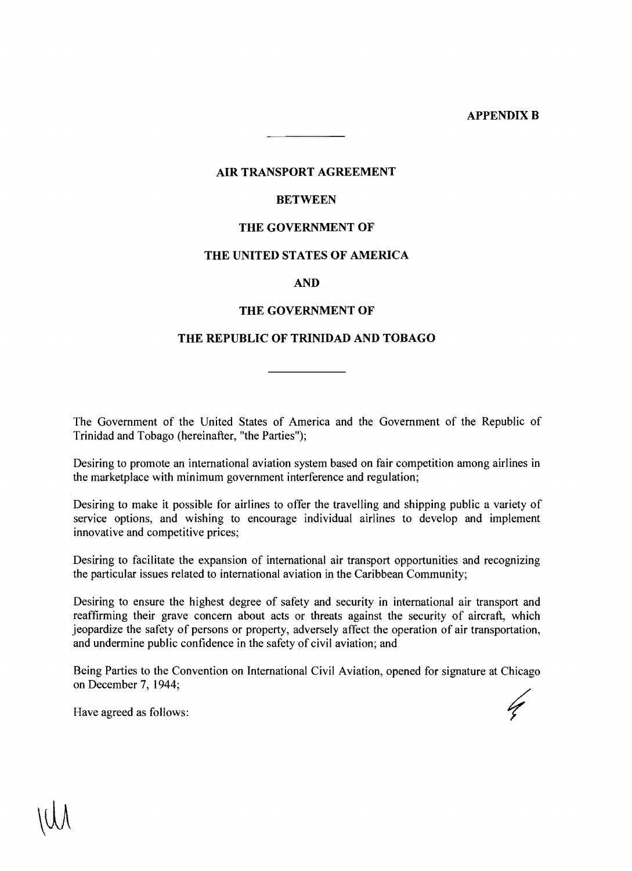**APPENDIX B** 

## AIR TRANSPORT AGREEMENT

## BETWEEN

# THE GOVERNMENT OF

## THE UNITED STATES OF AMERICA

## AND

# THE GOVERNMENT OF

# THE REPUBLIC OF TRINIDAD AND TOBAGO

The Government of the United States of America and the Government of the Republic of Trinidad and Tobago (hereinafter, "the Parties");

Desiring to promote an international aviation system based on fair competition among airlines in the marketplace with minimum government interference and regulation;

Desiring to make it possible for airlines to offer the travelling and shipping public a variety of service options, and wishing to encourage individual airlines to develop and implement innovative and competitive prices;

Desiring to facilitate the expansion of international air transport opportunities and recognizing the particular issues related to international aviation in the Caribbean Community;

Desiring to ensure the highest degree of safety and security in international air transport and reaffirming their grave concern about acts or threats against the security of aircraft, which jeopardize the safety of persons or property, adversely affect the operation of air transportation, and undermine public confidence in the safety of civil aviation; and

Being Parties to the Convention on International Civil Aviation, opened for signature at Chicago on December 7, 1944;

Have agreed as follows: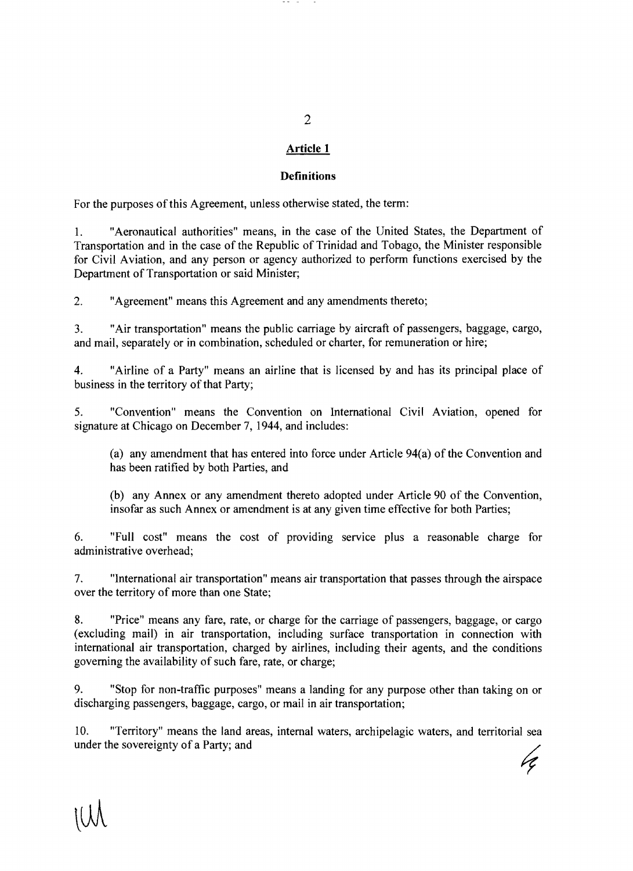#### **Definitions**

For the purposes of this Agreement, unless otherwise stated, the term:

1. "Aeronautical authorities" means, in the case of the United States, the Department of Transportation and in the case of the Republic of Trinidad and Tobago, the Minister responsible for Civil Aviation, and any person or agency authorized to perform functions exercised by the Department of Transportation or said Minister;

2. "Agreement" means this Agreement and any amendments thereto;

3. "Air transportation" means the public carriage by aircraft of passengers, baggage, cargo, and mail, separately or in combination, scheduled or charter, for remuneration or hire;

4. "Airline of a Party" means an airline that is licensed by and has its principal place of business in the territory of that Party;

5. "Convention" means the Convention on International Civil Aviation, opened for signature at Chicago on December 7, 1944, and includes:

(a) any amendment that has entered into force under Article 94(a) of the Convention and has been ratified by both Parties, and

(b) any Annex or any amendment thereto adopted under Article 90 of the Convention, insofar as such Annex or amendment is at any given time effective for both Parties;

6. "Full cost" means the cost of providing service plus a reasonable charge for administrative overhead;

7. "International air transportation" means air transportation that passes through the airspace over the territory of more than one State;

8. "Price" means any fare, rate, or charge for the carriage of passengers, baggage, or cargo (excluding mail) in air transportation, including surface transportation in connection with international air transportation, charged by airlines, including their agents, and the conditions governing the availability of such fare, rate, or charge;

9. "Stop for non-traffic purposes" means a landing for any purpose other than taking on or discharging passengers, baggage, cargo, or mail in air transportation;

10. "Territory" means the land areas, internal waters, archipelagic waters, and territorial sea under the sovereignty of a Party; and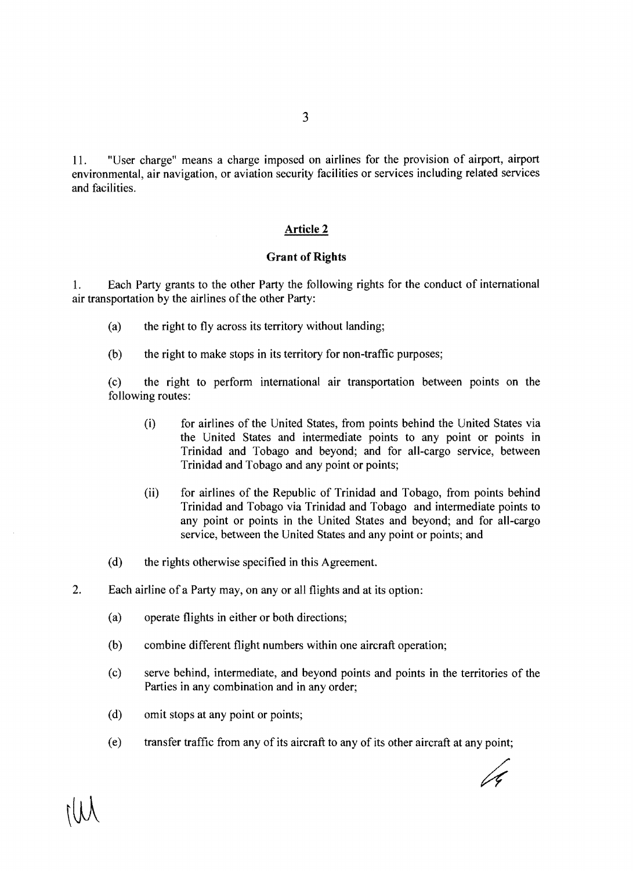11. "User charge" means a charge imposed on airlines for the provision of airport, airport environmental, air navigation, or aviation security facilities or services including related services and facilities.

#### Article 2

#### Grant of Rights

1. Each Party grants to the other Party the following rights for the conduct of international air transportation by the airlines of the other Party:

- (a) the right to fly across its territory without landing;
- (b) the right to make stops in its territory for non-traffic purposes;

(c) the right to perform international air transportation between points on the following routes:

- (i) for airlines of the United States, from points behind the United States via the United States and intermediate points to any point or points in Trinidad and Tobago and beyond; and for all-cargo service, between Trinidad and Tobago and any point or points;
- (ii) for airlines of the Republic of Trinidad and Tobago, from points behind Trinidad and Tobago via Trinidad and Tobago and intermediate points to any point or points in the United States and beyond; and for all-cargo service, between the United States and any point or points; and
- (d) the rights otherwise specified in this Agreement.
- 2. Each airline of a Party may, on any or all flights and at its option:
	- (a) operate flights in either or both directions;
	- (b) combine different flight numbers within one aircraft operation;
	- (c) serve behind, intermediate, and beyond points and points in the territories of the Parties in any combination and in any order;
	- (d) omit stops at any point or points;
	- (e) transfer traffic from any of its aircraft to any of its other aircraft at any point;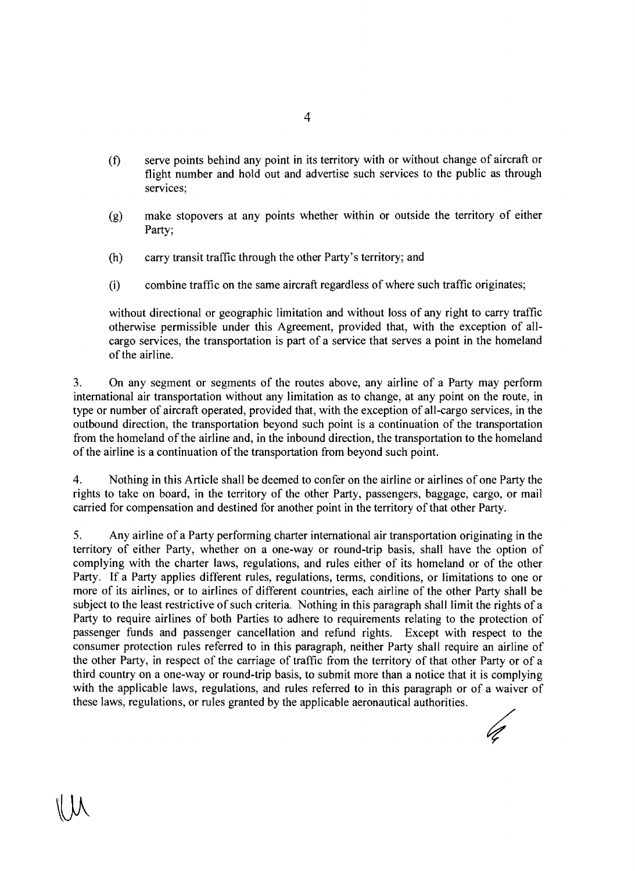- (f) serve points behind any point in its territory with or without change of aircraft or flight number and hold out and advertise such services to the public as through services;
- (g) make stopovers at any points whether within or outside the territory of either Party;
- (h) carry transit traffic through the other Party's territory; and
- (i) combine traffic on the same aircraft regardless of where such traffic originates;

without directional or geographic limitation and without loss of any right to carry traffic otherwise permissible under this Agreement, provided that, with the exception of allcargo services, the transportation is part of a service that serves a point in the homeland of the airline.

3. On any segment or segments of the routes above, any airline of a Party may perform international air transportation without any limitation as to change, at any point on the route, in type or number of aircraft operated, provided that, with the exception of all-cargo services, in the outbound direction, the transportation beyond such point is a continuation of the transportation from the homeland of the airline and, in the inbound direction, the transportation to the homeland of the airline is a continuation of the transportation from beyond such point.

4. Nothing in this Article shall be deemed to confer on the airline or airlines of one Party the rights to take on board, in the territory of the other Party, passengers, baggage, cargo, or mail carried for compensation and destined for another point in the territory of that other Party.

5. Any airline of a Party performing charter international air transportation originating in the territory of either Party, whether on a one-way or round-trip basis, shall have the option of complying with the charter laws, regulations, and rules either of its homeland or of the other Party. If a Party applies different rules, regulations, terms, conditions, or limitations to one or more of its airlines, or to airlines of different countries, each airline of the other Party shall be subject to the least restrictive of such criteria. Nothing in this paragraph shall limit the rights of a Party to require airlines of both Parties to adhere to requirements relating to the protection of passenger funds and passenger cancellation and refund rights. Except with respect to the consumer protection rules referred to in this paragraph, neither Party shall require an airline of the other Party, in respect of the carriage of traffic from the territory of that other Party or of a third country on a one-way or round-trip basis, to submit more than a notice that it is complying with the applicable laws, regulations, and rules referred to in this paragraph or of a waiver of these laws, regulations, or rules granted by the applicable aeronautical authorities.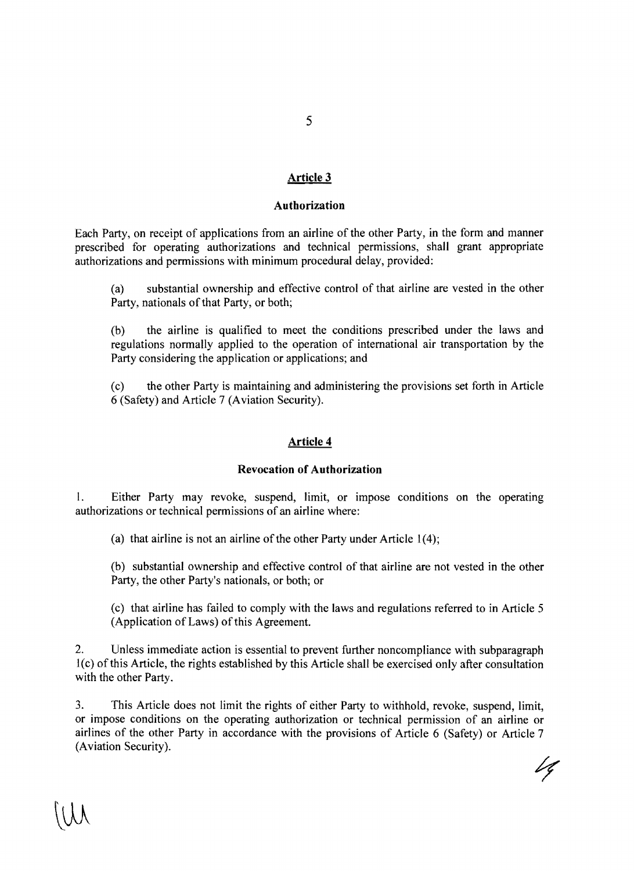#### **Authorization**

Each Party, on receipt of applications from an airline of the other Party, in the form and manner prescribed for operating authorizations and technical permissions, shall grant appropriate authorizations and permissions with minimum procedural delay, provided:

(a) substantial ownership and effective control of that airline are vested in the other Party, nationals of that Party, or both;

(b) the airline is qualified to meet the conditions prescribed under the laws and regulations normally applied to the operation of international air transportation by the Party considering the application or applications; and

(c) the other Party is maintaining and administering the provisions set forth in Article 6 (Safety) and Article 7 (Aviation Security).

## **Article 4**

#### **Revocation of Authorization**

I. Either Party may revoke, suspend, limit, or impose conditions on the operating authorizations or technical permissions of an airline where:

(a) that airline is not an airline of the other Party under Article  $1(4)$ ;

(b) substantial ownership and effective control of that airline are not vested in the other Party, the other Party's nationals, or both; or

(c) that airline has failed to comply with the laws and regulations referred to in Article 5 (Application of Laws) of this Agreement.

2. Unless immediate action is essential to prevent further noncompliance with subparagraph l(c) of this Article, the rights established by this Article shall be exercised only after consultation with the other Party.

3. This Article does not limit the rights of either Party to withhold, revoke, suspend, limit, or impose conditions on the operating authorization or technical permission of an airline or airlines of the other Party in accordance with the provisions of Article 6 (Safety) or Article 7 (Aviation Security).

1 G

5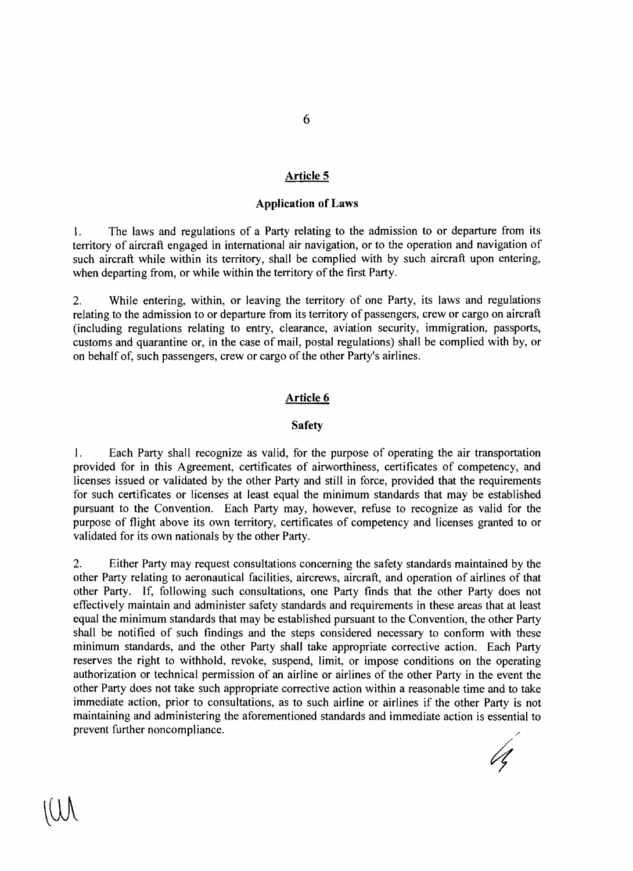#### **Application of Laws**

1. The laws and regulations of a Party relating to the admission to or departure from its territory of aircraft engaged in international air navigation, or to the operation and navigation of such aircraft while within its territory, shall be complied with by such aircraft upon entering, when departing from, or while within the territory of the first Party.

2. While entering, within, or leaving the territory of one Party, its laws and regulations relating to the admission to or departure from its territory of passengers, crew or cargo on aircraft (including regulations relating to entry, clearance, aviation security, immigration, passports, customs and quarantine or, in the case of mail, postal regulations) shall be complied with by, or on behalf of, such passengers, crew or cargo ofthe other Party's airlines.

#### **Article 6**

### **Safety**

1. Each Party shall recognize as valid, for the purpose of operating the air transportation provided for in this Agreement, certificates of airworthiness, certificates of competency, and licenses issued or validated by the other Party and still in force, provided that the requirements for such certificates or licenses at least equal the minimum standards that may be established pursuant to the Convention. Each Party may, however, refuse to recognize as valid for the purpose of flight above its own territory, certificates of competency and licenses granted to or validated for its own nationals by the other Party.

2. Either Party may request consultations concerning the safety standards maintained by the other Party relating to aeronautical facilities, aircrews, aircraft, and operation of airlines of that other Party. If, following such consultations, one Party finds that the other Party does not effectively maintain and administer safety standards and requirements in these areas that at least equal the minimum standards that may be established pursuant to the Convention, the other Party shall be notified of such findings and the steps considered necessary to conform with these minimum standards, and the other Party shall take appropriate corrective action. Each Party reserves the right to withhold, revoke, suspend, limit, or impose conditions on the operating authorization or technical permission of an airline or airlines of the other Party in the event the other Party does not take such appropriate corrective action within a reasonable time and to take immediate action, prior to consultations, as to such airline or airlines if the other Party is not maintaining and administering the aforementioned standards and immediate action is essential to prevent further noncompliance.  $\mathscr{U}_{\zeta}$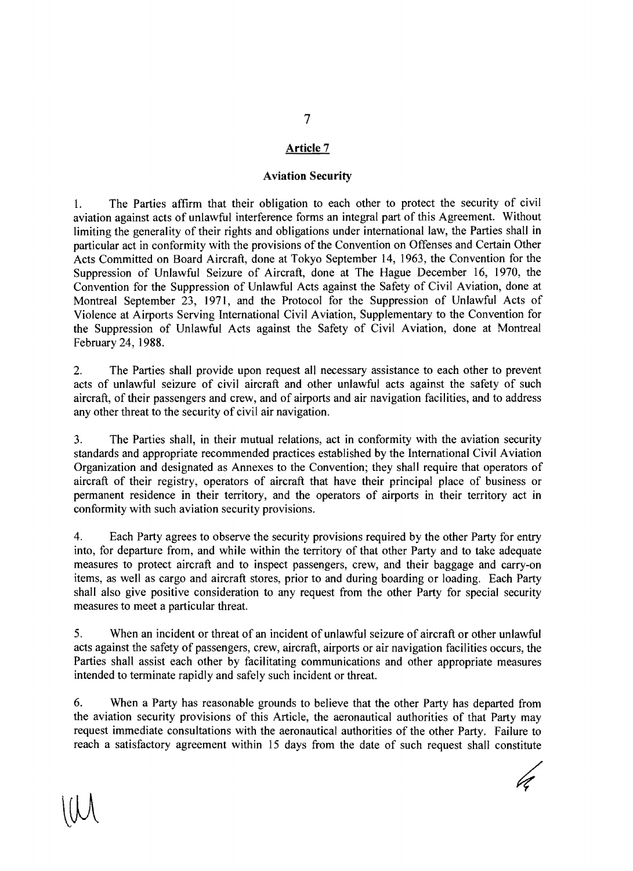7

#### **Aviation Security**

1. The Parties affirm that their obligation to each other to protect the security of civil aviation against acts of unlawful interference forms an integral part of this Agreement. Without limiting the generality of their rights and obligations under international law, the Parties shall in particular act in conformity with the provisions of the Convention on Offenses and Certain Other Acts Committed on Board Aircraft, done at Tokyo September 14, 1963, the Convention for the Suppression of Unlawful Seizure of Aircraft, done at The Hague December 16, 1970, the Convention for the Suppression of Unlawful Acts against the Safety of Civil Aviation, done at Montreal September 23, 1971, and the Protocol for the Suppression of Unlawful Acts of Violence at Airports Serving International Civil Aviation, Supplementary to the Convention for the Suppression of Unlawful Acts against the Safety of Civil Aviation, done at Montreal February 24, 1988.

2. The Parties shall provide upon request all necessary assistance to each other to prevent acts of unlawful seizure of civil aircraft and other unlawful acts against the safety of such aircraft, of their passengers and crew, and of airports and air navigation facilities, and to address any other threat to the security of civil air navigation.

3. The Parties shall, in their mutual relations, act in conformity with the aviation security standards and appropriate recommended practices established by the International Civil Aviation Organization and designated as Annexes to the Convention; they shall require that operators of aircraft of their registry, operators of aircraft that have their principal place of business or permanent residence in their territory, and the operators of airports in their territory act in conformity with such aviation security provisions.

4. Each Party agrees to observe the security provisions required by the other Party for entry into, for departure from, and while within the territory of that other Party and to take adequate measures to protect aircraft and to inspect passengers, crew, and their baggage and carry-on items, as well as cargo and aircraft stores, prior to and during boarding or loading. Each Party shall also give positive consideration to any request from the other Party for special security measures to meet a particular threat.

5. When an incident or threat of an incident of unlawful seizure of aircraft or other unlawful acts against the safety of passengers, crew, aircraft, airports or air navigation facilities occurs, the Parties shall assist each other by facilitating communications and other appropriate measures intended to terminate rapidly and safely such incident or threat.

6. When a Party has reasonable grounds to believe that the other Party has departed from the aviation security provisions of this Article, the aeronautical authorities of that Party may request immediate consultations with the aeronautical authorities of the other Party. Failure to reach a satisfactory agreement within 15 days from the date of such request shall constitute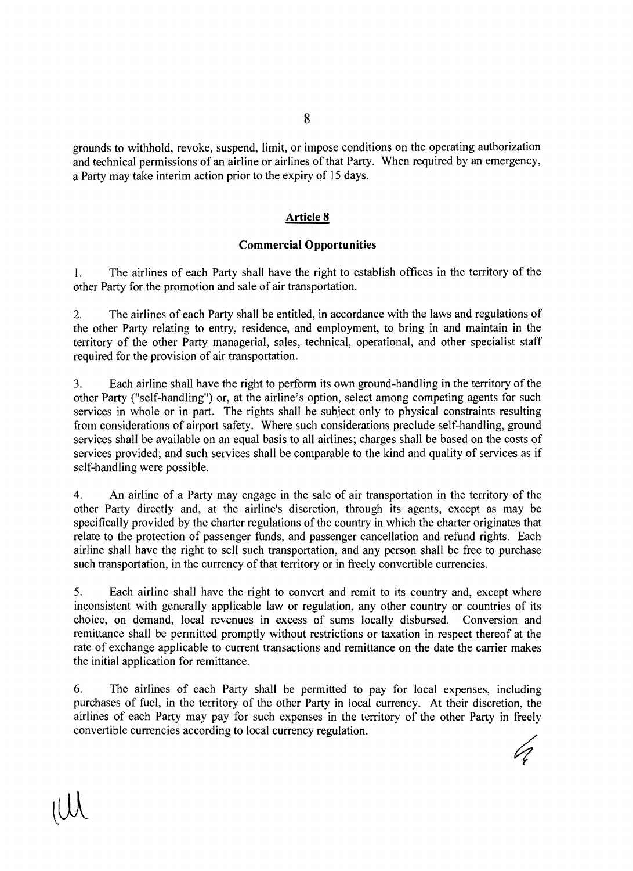grounds to withhold, revoke, suspend, limit, or impose conditions on the operating authorization and technical permissions of an airline or airlines of that Party. When required by an emergency, a Party may take interim action prior to the expiry of 15 days.

## **Article 8**

## **Commercial Opportunities**

1. The airlines of each Party shall have the right to establish offices in the territory of the other Party for the promotion and sale of air transportation.

2. The airlines of each Party shall be entitled, in accordance with the laws and regulations of the other Party relating to entry, residence, and employment, to bring in and maintain in the territory of the other Party managerial, sales, technical, operational, and other specialist staff required for the provision of air transportation.

3. Each airline shall have the right to perform its own ground-handling in the territory of the other Party ("self-handling") or, at the airline's option, select among competing agents for such services in whole or in part. The rights shall be subject only to physical constraints resulting from considerations of airport safety. Where such considerations preclude self-handling, ground services shall be available on an equal basis to all airlines; charges shall be based on the costs of services provided; and such services shall be comparable to the kind and quality of services as if self-handling were possible.

4. An airline of a Party may engage in the sale of air transportation in the territory of the other Party directly and, at the airline's discretion, through its agents, except as may be specifically provided by the charter regulations of the country in which the charter originates that relate to the protection of passenger funds, and passenger cancellation and refund rights. Each airline shall have the right to sell such transportation, and any person shall be free to purchase such transportation, in the currency of that territory or in freely convertible currencies.

5. Each airline shall have the right to convert and remit to its country and, except where inconsistent with generally applicable law or regulation, any other country or countries of its choice, on demand, local revenues in excess of sums locally disbursed. Conversion and remittance shall be permitted promptly without restrictions or taxation in respect thereof at the rate of exchange applicable to current transactions and remittance on the date the carrier makes the initial application for remittance.

6. The airlines of each Party shall be permitted to pay for local expenses, including purchases of fuel, in the territory of the other Party in local currency. At their discretion, the airlines of each Party may pay for such expenses in the territory of the other Party in freely convertible currencies according to local currency regulation.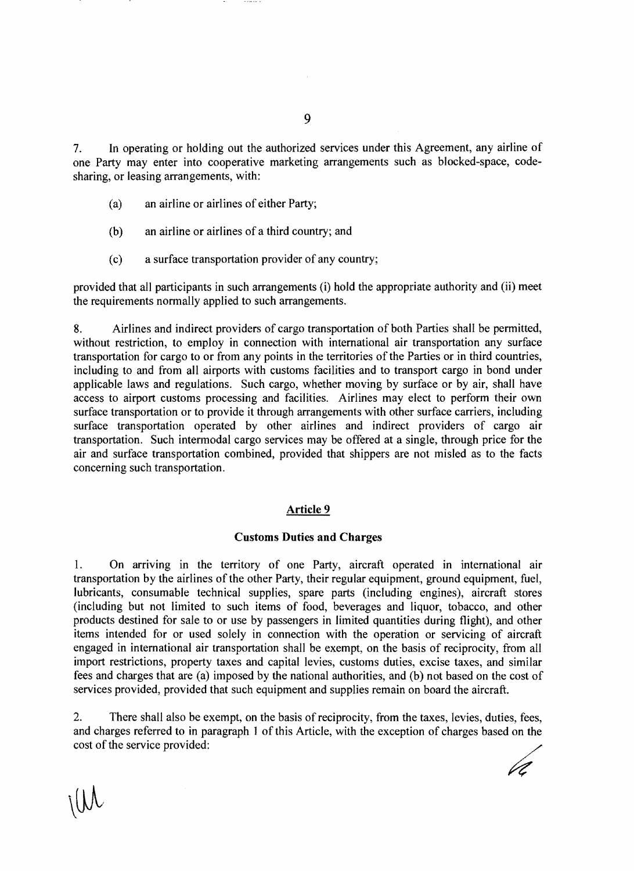7. In operating or holding out the authorized services under this Agreement, any airline of one Party may enter into cooperative marketing arrangements such as blocked-space, codesharing, or leasing arrangements, with:

- (a) an airline or airlines of either Party;
- (b) an airline or airlines of a third country; and
- (c) a surface transportation provider of any country;

provided that all participants in such arrangements (i) hold the appropriate authority and (ii) meet the requirements normally applied to such arrangements.

8. Airlines and indirect providers of cargo transportation of both Parties shall be permitted, without restriction, to employ in connection with international air transportation any surface transportation for cargo to or from any points in the territories of the Parties or in third countries, including to and from all airports with customs facilities and to transport cargo in bond under applicable laws and regulations. Such cargo, whether moving by surface or by air, shall have access to airport customs processing and facilities. Airlines may elect to perform their own surface transportation or to provide it through arrangements with other surface carriers, including surface transportation operated by other airlines and indirect providers of cargo air transportation. Such intermodal cargo services may be offered at a single, through price for the air and surface transportation combined, provided that shippers are not misled as to the facts concerning such transportation.

#### Article 9

#### Customs Duties and Charges

1. On arriving in the territory of one Party, aircraft operated in international air transportation by the airlines of the other Party, their regular equipment, ground equipment, fuel, lubricants, consumable technical supplies, spare parts (including engines), aircraft stores (including but not limited to such items of food, beverages and liquor, tobacco, and other products destined for sale to or use by passengers in limited quantities during flight), and other items intended for or used solely in connection with the operation or servicing of aircraft engaged in international air transportation shall be exempt, on the basis of reciprocity, from all import restrictions, property taxes and capital levies, customs duties, excise taxes, and similar fees and charges that are (a) imposed by the national authorities, and (b) not based on the cost of services provided, provided that such equipment and supplies remain on board the aircraft.

2. There shall also be exempt, on the basis of reciprocity, from the taxes, levies, duties, fees, and charges referred to in paragraph 1 of this Article, with the exception of charges based on the cost of the service provided:

\\\N

9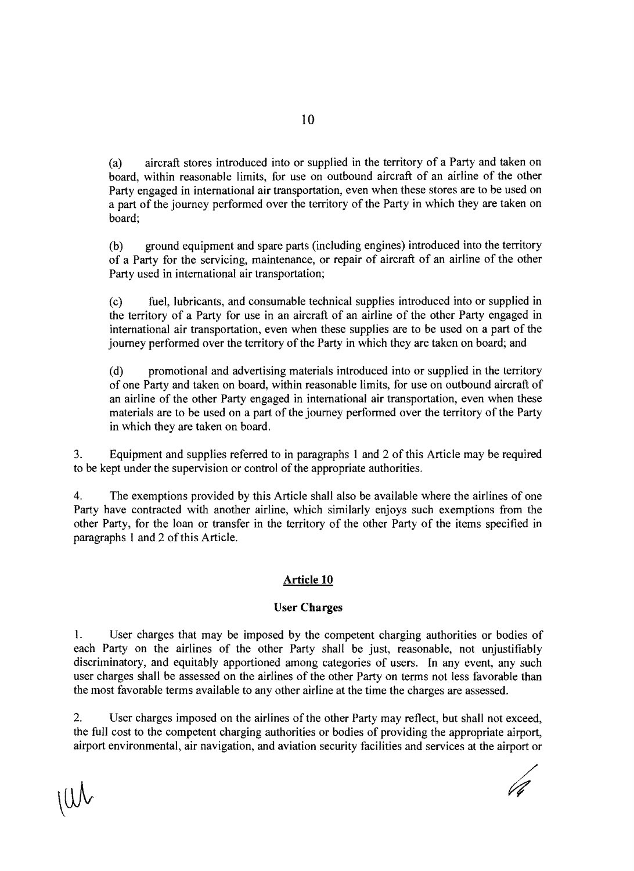(a) aircraft stores introduced into or supplied in the territory of a Party and taken on board, within reasonable limits, for use on outbound aircraft of an airline of the other Party engaged in international air transportation, even when these stores are to be used on a part of the journey performed over the territory of the Party in which they are taken on board;

(b) ground equipment and spare parts (including engines) introduced into the territory of a Party for the servicing, maintenance, or repair of aircraft of an airline of the other Party used in international air transportation;

(c) fuel, lubricants, and consumable technical supplies introduced into or supplied in the territory of a Party for use in an aircraft of an airline of the other Party engaged in international air transportation, even when these supplies are to be used on a part of the journey performed over the territory of the Party in which they are taken on board; and

(d) promotional and advertising materials introduced into or supplied in the territory of one Party and taken on board, within reasonable limits, for use on outbound aircraft of an airline of the other Party engaged in international air transportation, even when these materials are to be used on a part of the journey performed over the territory of the Party in which they are taken on board.

3. Equipment and supplies referred to in paragraphs 1 and 2 of this Article may be required to be kept under the supervision or control of the appropriate authorities.

4. The exemptions provided by this Article shall also be available where the airlines of one Party have contracted with another airline, which similarly enjoys such exemptions from the other Party, for the loan or transfer in the territory of the other Party of the items specified in paragraphs 1 and 2 of this Article.

## Article 10

#### User Charges

1. User charges that may be imposed by the competent charging authorities or bodies of each Party on the airlines of the other Party shall be just, reasonable, not unjustifiably discriminatory, and equitably apportioned among categories of users. In any event, any such user charges shall be assessed on the airlines of the other Party on terms not less favorable than the most favorable terms available to any other airline at the time the charges are assessed.

2. User charges imposed on the airlines of the other Party may reflect, but shall not exceed, the full cost to the competent charging authorities or bodies of providing the appropriate airport, airport environmental, air navigation, and aviation security facilities and services at the airport or

W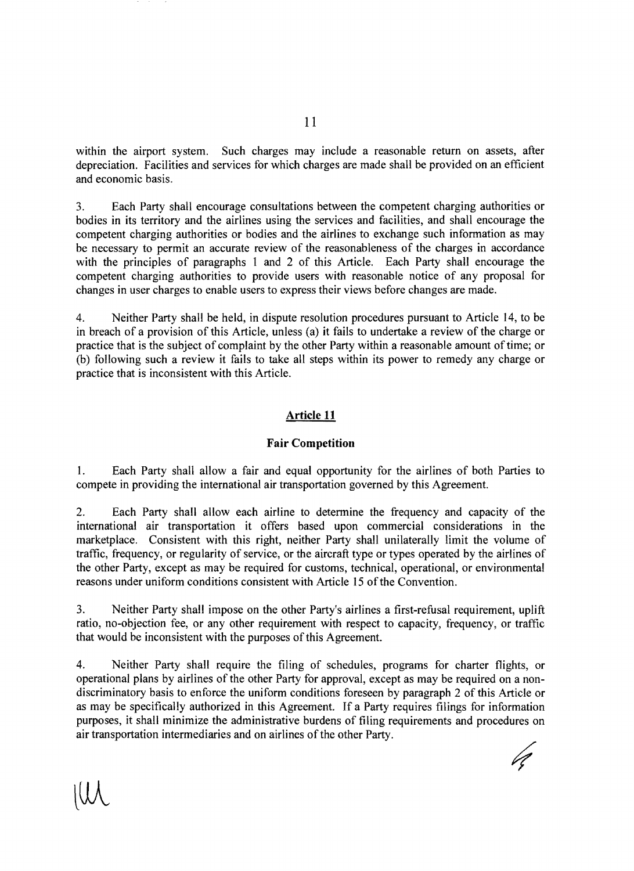within the airport system. Such charges may include a reasonable return on assets, after depreciation. Facilities and services for which charges are made shall be provided on an efficient and economic basis.

3. Each Party shall encourage consultations between the competent charging authorities or bodies in its territory and the airlines using the services and facilities, and shall encourage the competent charging authorities or bodies and the airlines to exchange such information as may be necessary to permit an accurate review of the reasonableness of the charges in accordance with the principles of paragraphs 1 and 2 of this Article. Each Party shall encourage the competent charging authorities to provide users with reasonable notice of any proposal for changes in user charges to enable users to express their views before changes are made.

4. Neither Party shall be held, in dispute resolution procedures pursuant to Article 14, to be in breach of a provision of this Article, unless (a) it fails to undertake a review of the charge or practice that is the subject of complaint by the other Party within a reasonable amount of time; or (b) following such a review it fails to take all steps within its power to remedy any charge or practice that is inconsistent with this Article.

## **Article 11**

#### **Fair Competition**

1. Each Party shall allow a fair and equal opportunity for the airlines of both Parties to compete in providing the international air transportation governed by this Agreement.

2. Each Party shall allow each airline to determine the frequency and capacity of the international air transportation it offers based upon commercial considerations in the marketplace. Consistent with this right, neither Party shall unilaterally limit the volume of traffic, frequency, or regularity of service, or the aircraft type or types operated by the airlines of the other Party, except as may be required for customs, technical, operational, or environmental reasons under uniform conditions consistent with Article 15 ofthe Convention.

3. Neither Party shall impose on the other Party's airlines a first-refusal requirement, uplift ratio, no-objection fee, or any other requirement with respect to capacity, frequency, or traffic that would be inconsistent with the purposes of this Agreement.

4. Neither Party shall require the filing of schedules, programs for charter flights, or operational plans by airlines of the other Party for approval, except as may be required on a nondiscriminatory basis to enforce the uniform conditions foreseen by paragraph 2 of this Article or as may be specifically authorized in this Agreement. If a Party requires filings for information purposes, it shall minimize the administrative burdens of filing requirements and procedures on air transportation intermediaries and on airlines of the other Party.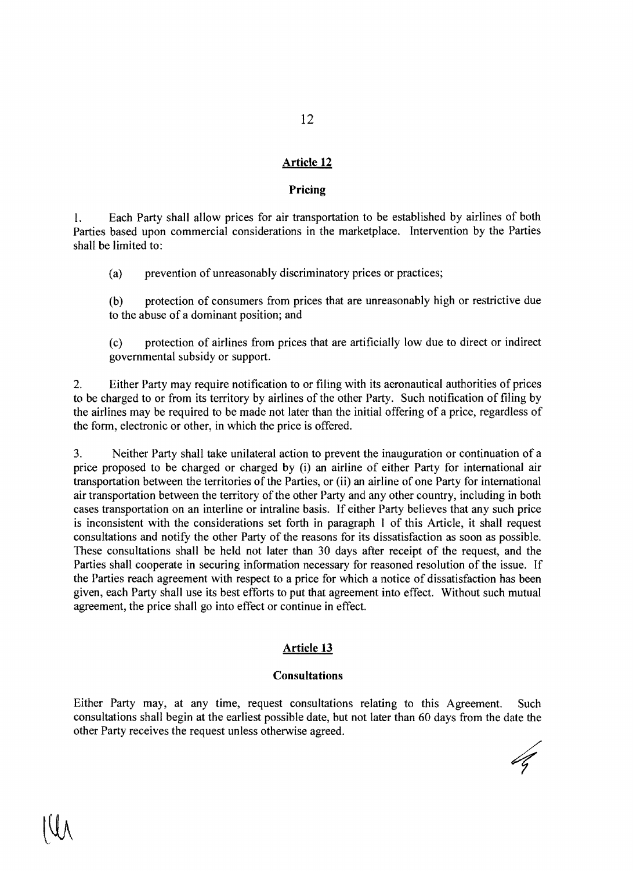## **Pricing**

1. Each Party shall allow prices for air transportation to be established by airlines of both Parties based upon commercial considerations in the marketplace. Intervention by the Parties shall be limited to:

(a) prevention of unreasonably discriminatory prices or practices;

(b) protection of consumers from prices that are unreasonably high or restrictive due to the abuse of a dominant position; and

(c) protection of airlines from prices that are artificially low due to direct or indirect governmental subsidy or support.

2. Either Party may require notification to or filing with its aeronautical authorities of prices to be charged to or from its territory by airlines of the other Party. Such notification of filing by the airlines may be required to be made not later than the initial offering of a price, regardless of the form, electronic or other, in which the price is offered.

3. Neither Party shall take unilateral action to prevent the inauguration or continuation of a price proposed to be charged or charged by (i) an airline of either Party for international air transportation between the territories of the Parties, or (ii) an airline of one Party for international air transportation between the territory of the other Party and any other country, including in both cases transportation on an interline or intraline basis. If either Party believes that any such price is inconsistent with the considerations set forth in paragraph 1 of this Article, it shall request consultations and notify the other Party of the reasons for its dissatisfaction as soon as possible. These consultations shall be held not later than 30 days after receipt of the request, and the Parties shall cooperate in securing information necessary for reasoned resolution of the issue. If the Parties reach agreement with respect to a price for which a notice of dissatisfaction has been given, each Party shall use its best efforts to put that agreement into effect. Without such mutual agreement, the price shall go into effect or continue in effect.

# **Article 13**

## **Consultations**

Either Party may, at any time, request consultations relating to this Agreement. Such consultations shall begin at the earliest possible date, but not later than 60 days from the date the other Party receives the request unless otherwise agreed.

Ű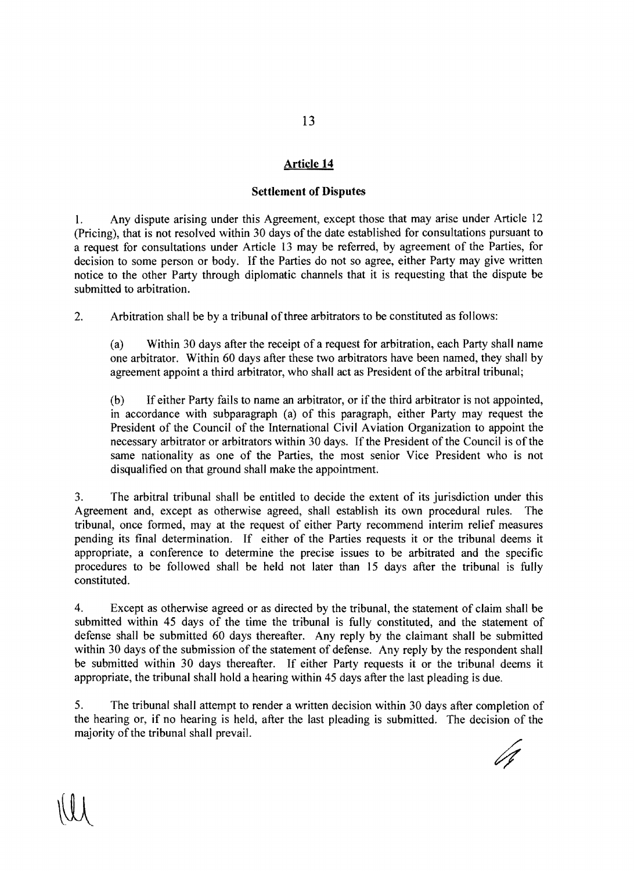#### **Settlement of Disputes**

1. Any dispute arising under this Agreement, except those that may arise under Article 12 (Pricing), that is not resolved within 30 days of the date established for consultations pursuant to a request for consultations under Article 13 may be referred, by agreement of the Parties, for decision to some person or body. If the Parties do not so agree, either Party may give written notice to the other Party through diplomatic channels that it is requesting that the dispute be submitted to arbitration.

2. Arbitration shall be by a tribunal of three arbitrators to be constituted as follows:

(a) Within 30 days after the receipt of a request for arbitration, each Party shall name one arbitrator. Within 60 days after these two arbitrators have been named, they shall by agreement appoint a third arbitrator, who shall act as President of the arbitral tribunal;

(b) If either Party fails to name an arbitrator, or if the third arbitrator is not appointed, in accordance with subparagraph (a) of this paragraph, either Party may request the President of the Council of the International Civil Aviation Organization to appoint the necessary arbitrator or arbitrators within 30 days. If the President of the Council is of the same nationality as one of the Parties, the most senior Vice President who is not disqualified on that ground shall make the appointment.

3. The arbitral tribunal shall be entitled to decide the extent of its jurisdiction under this Agreement and, except as otherwise agreed, shall establish its own procedural rules. The tribunal, once formed, may at the request of either Party recommend interim relief measures pending its final determination. If either of the Parties requests it or the tribunal deems it appropriate, a conference to determine the precise issues to be arbitrated and the specific procedures to be followed shall be held not later than 15 days after the tribunal is fully constituted.

4. Except as otherwise agreed or as directed by the tribunal, the statement of claim shall be submitted within 45 days of the time the tribunal is fully constituted, and the statement of defense shall be submitted 60 days thereafter. Any reply by the claimant shall be submitted within 30 days of the submission of the statement of defense. Any reply by the respondent shall be submitted within 30 days thereafter. If either Party requests it or the tribunal deems it appropriate, the tribunal shall hold a hearing within 45 days after the last pleading is due.

5. The tribunal shall attempt to render a written decision within 30 days after completion of the hearing or, if no hearing is held, after the last pleading is submitted. The decision of the majority of the tribunal shall prevail.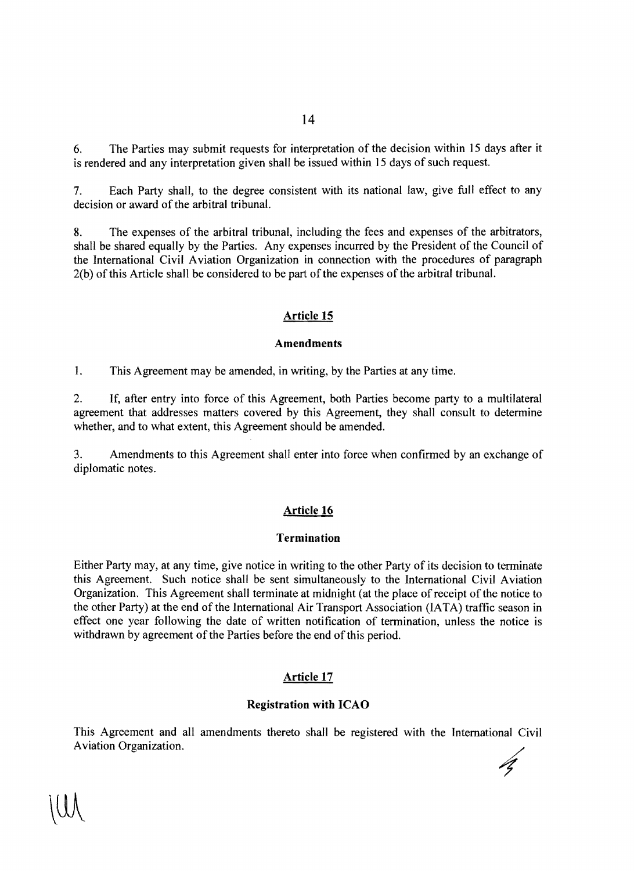6. The Parties may submit requests for interpretation of the decision within 15 days after it is rendered and any interpretation given shall be issued within 15 days of such request.

7. Each Party shall, to the degree consistent with its national law, give full effect to any decision or award of the arbitral tribunal.

8. The expenses of the arbitral tribunal, including the fees and expenses of the arbitrators, shall be shared equally by the Parties. Any expenses incurred by the President of the Council of the International Civil Aviation Organization in connection with the procedures of paragraph 2(b) of this Article shall be considered to be part of the expenses of the arbitral tribunal.

## Article 15

#### **Amendments**

1. This Agreement may be amended, in writing, by the Parties at any time.

2. If, after entry into force of this Agreement, both Parties become party to a multilateral agreement that addresses matters covered by this Agreement, they shall consult to determine whether, and to what extent, this Agreement should be amended.

3. Amendments to this Agreement shall enter into force when confirmed by an exchange of diplomatic notes.

#### Article 16

#### **Termination**

Either Party may, at any time, give notice in writing to the other Party of its decision to terminate this Agreement. Such notice shall be sent simultaneously to the International Civil Aviation Organization. This Agreement shall terminate at midnight (at the place of receipt of the notice to the other Party) at the end of the International Air Transport Association (IA TA) traffic season in effect one year following the date of written notification of termination, unless the notice is withdrawn by agreement of the Parties before the end of this period.

#### Article 17

# Registration with ICAO

This Agreement and all amendments thereto shall be registered with the International Civil A viation Organization.